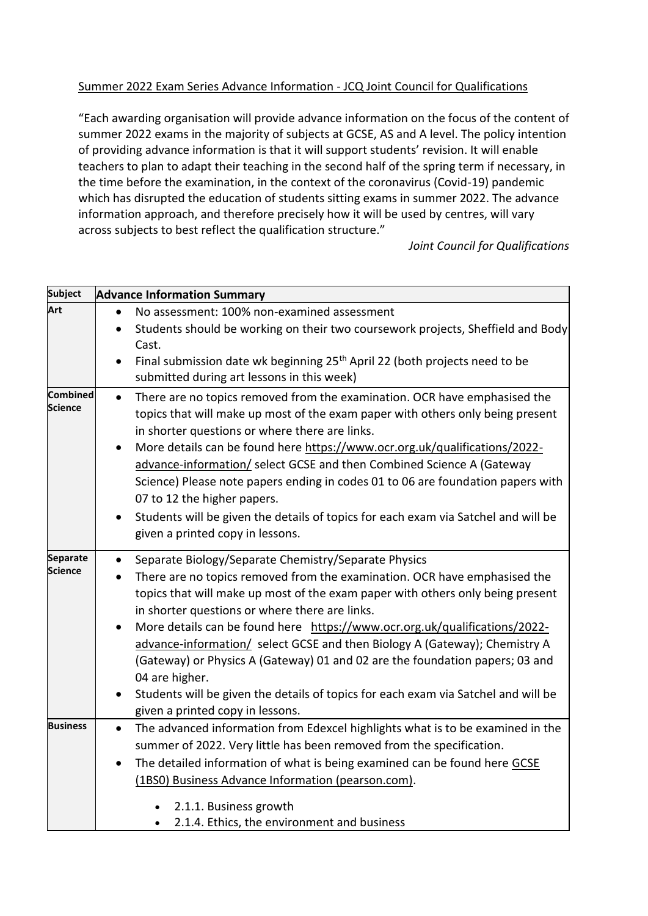## Summer 2022 Exam Series Advance Information - [JCQ Joint Council for Qualifications](https://www.jcq.org.uk/summer-2022-arrangements/)

"Each awarding organisation will provide advance information on the focus of the content of summer 2022 exams in the majority of subjects at GCSE, AS and A level. The policy intention of providing advance information is that it will support students' revision. It will enable teachers to plan to adapt their teaching in the second half of the spring term if necessary, in the time before the examination, in the context of the coronavirus (Covid-19) pandemic which has disrupted the education of students sitting exams in summer 2022. The advance information approach, and therefore precisely how it will be used by centres, will vary across subjects to best reflect the qualification structure."

## *Joint Council for Qualifications*

| <b>Subject</b>  |           | <b>Advance Information Summary</b>                                                     |
|-----------------|-----------|----------------------------------------------------------------------------------------|
| Art             | $\bullet$ | No assessment: 100% non-examined assessment                                            |
|                 | $\bullet$ | Students should be working on their two coursework projects, Sheffield and Body        |
|                 |           | Cast.                                                                                  |
|                 | $\bullet$ | Final submission date wk beginning 25 <sup>th</sup> April 22 (both projects need to be |
|                 |           | submitted during art lessons in this week)                                             |
| Combined        | $\bullet$ | There are no topics removed from the examination. OCR have emphasised the              |
| <b>Science</b>  |           | topics that will make up most of the exam paper with others only being present         |
|                 |           | in shorter questions or where there are links.                                         |
|                 | $\bullet$ | More details can be found here https://www.ocr.org.uk/qualifications/2022-             |
|                 |           | advance-information/ select GCSE and then Combined Science A (Gateway                  |
|                 |           | Science) Please note papers ending in codes 01 to 06 are foundation papers with        |
|                 |           | 07 to 12 the higher papers.                                                            |
|                 | $\bullet$ | Students will be given the details of topics for each exam via Satchel and will be     |
|                 |           | given a printed copy in lessons.                                                       |
| <b>Separate</b> | $\bullet$ | Separate Biology/Separate Chemistry/Separate Physics                                   |
| <b>Science</b>  | $\bullet$ | There are no topics removed from the examination. OCR have emphasised the              |
|                 |           | topics that will make up most of the exam paper with others only being present         |
|                 |           | in shorter questions or where there are links.                                         |
|                 | $\bullet$ | More details can be found here https://www.ocr.org.uk/qualifications/2022-             |
|                 |           | advance-information/ select GCSE and then Biology A (Gateway); Chemistry A             |
|                 |           | (Gateway) or Physics A (Gateway) 01 and 02 are the foundation papers; 03 and           |
|                 |           | 04 are higher.                                                                         |
|                 | ٠         | Students will be given the details of topics for each exam via Satchel and will be     |
|                 |           | given a printed copy in lessons.                                                       |
| <b>Business</b> | $\bullet$ | The advanced information from Edexcel highlights what is to be examined in the         |
|                 |           | summer of 2022. Very little has been removed from the specification.                   |
|                 | $\bullet$ | The detailed information of what is being examined can be found here GCSE              |
|                 |           | (1BS0) Business Advance Information (pearson.com).                                     |
|                 |           | 2.1.1. Business growth                                                                 |
|                 |           | 2.1.4. Ethics, the environment and business                                            |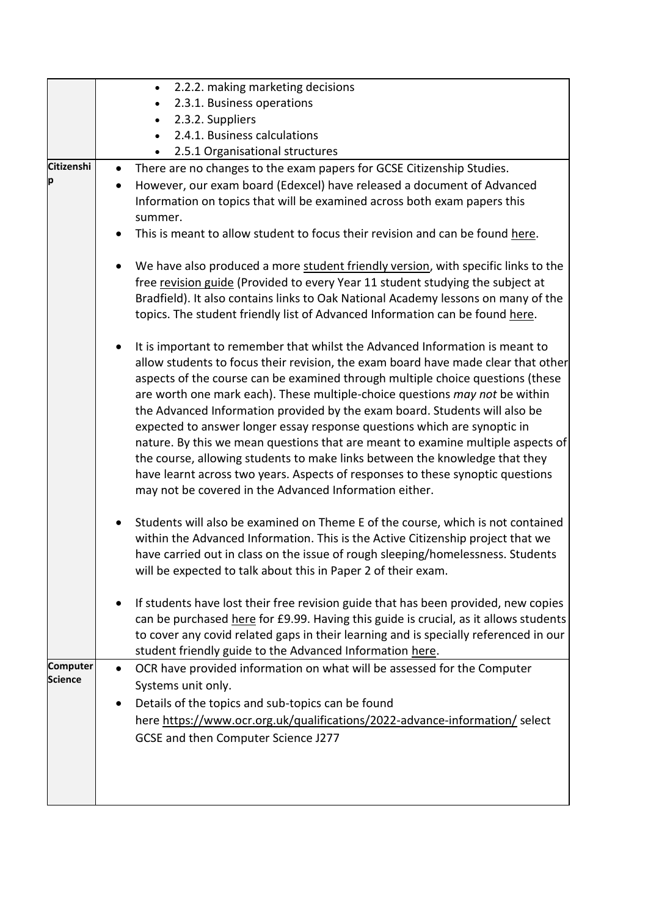|                        | 2.2.2. making marketing decisions<br>$\bullet$                                                                                                                                                                                                                                                                                                                                                                                                                                                                                                                                                                                                                                                                                                                                                             |
|------------------------|------------------------------------------------------------------------------------------------------------------------------------------------------------------------------------------------------------------------------------------------------------------------------------------------------------------------------------------------------------------------------------------------------------------------------------------------------------------------------------------------------------------------------------------------------------------------------------------------------------------------------------------------------------------------------------------------------------------------------------------------------------------------------------------------------------|
|                        | 2.3.1. Business operations<br>$\bullet$                                                                                                                                                                                                                                                                                                                                                                                                                                                                                                                                                                                                                                                                                                                                                                    |
|                        | 2.3.2. Suppliers                                                                                                                                                                                                                                                                                                                                                                                                                                                                                                                                                                                                                                                                                                                                                                                           |
|                        | 2.4.1. Business calculations                                                                                                                                                                                                                                                                                                                                                                                                                                                                                                                                                                                                                                                                                                                                                                               |
|                        | 2.5.1 Organisational structures                                                                                                                                                                                                                                                                                                                                                                                                                                                                                                                                                                                                                                                                                                                                                                            |
| <b>Citizenshi</b><br>р | There are no changes to the exam papers for GCSE Citizenship Studies.<br>However, our exam board (Edexcel) have released a document of Advanced                                                                                                                                                                                                                                                                                                                                                                                                                                                                                                                                                                                                                                                            |
|                        | Information on topics that will be examined across both exam papers this<br>summer.                                                                                                                                                                                                                                                                                                                                                                                                                                                                                                                                                                                                                                                                                                                        |
|                        | This is meant to allow student to focus their revision and can be found here.                                                                                                                                                                                                                                                                                                                                                                                                                                                                                                                                                                                                                                                                                                                              |
|                        | We have also produced a more student friendly version, with specific links to the<br>free revision guide (Provided to every Year 11 student studying the subject at<br>Bradfield). It also contains links to Oak National Academy lessons on many of the<br>topics. The student friendly list of Advanced Information can be found here.                                                                                                                                                                                                                                                                                                                                                                                                                                                                   |
|                        | It is important to remember that whilst the Advanced Information is meant to<br>allow students to focus their revision, the exam board have made clear that other<br>aspects of the course can be examined through multiple choice questions (these<br>are worth one mark each). These multiple-choice questions may not be within<br>the Advanced Information provided by the exam board. Students will also be<br>expected to answer longer essay response questions which are synoptic in<br>nature. By this we mean questions that are meant to examine multiple aspects of<br>the course, allowing students to make links between the knowledge that they<br>have learnt across two years. Aspects of responses to these synoptic questions<br>may not be covered in the Advanced Information either. |
|                        | Students will also be examined on Theme E of the course, which is not contained<br>within the Advanced Information. This is the Active Citizenship project that we<br>have carried out in class on the issue of rough sleeping/homelessness. Students<br>will be expected to talk about this in Paper 2 of their exam.                                                                                                                                                                                                                                                                                                                                                                                                                                                                                     |
|                        | If students have lost their free revision guide that has been provided, new copies<br>can be purchased here for £9.99. Having this guide is crucial, as it allows students<br>to cover any covid related gaps in their learning and is specially referenced in our<br>student friendly guide to the Advanced Information here.                                                                                                                                                                                                                                                                                                                                                                                                                                                                             |
| <b>Computer</b>        | OCR have provided information on what will be assessed for the Computer<br>$\bullet$                                                                                                                                                                                                                                                                                                                                                                                                                                                                                                                                                                                                                                                                                                                       |
| <b>Science</b>         | Systems unit only.                                                                                                                                                                                                                                                                                                                                                                                                                                                                                                                                                                                                                                                                                                                                                                                         |
|                        | Details of the topics and sub-topics can be found                                                                                                                                                                                                                                                                                                                                                                                                                                                                                                                                                                                                                                                                                                                                                          |
|                        | here https://www.ocr.org.uk/qualifications/2022-advance-information/ select                                                                                                                                                                                                                                                                                                                                                                                                                                                                                                                                                                                                                                                                                                                                |
|                        | GCSE and then Computer Science J277                                                                                                                                                                                                                                                                                                                                                                                                                                                                                                                                                                                                                                                                                                                                                                        |
|                        |                                                                                                                                                                                                                                                                                                                                                                                                                                                                                                                                                                                                                                                                                                                                                                                                            |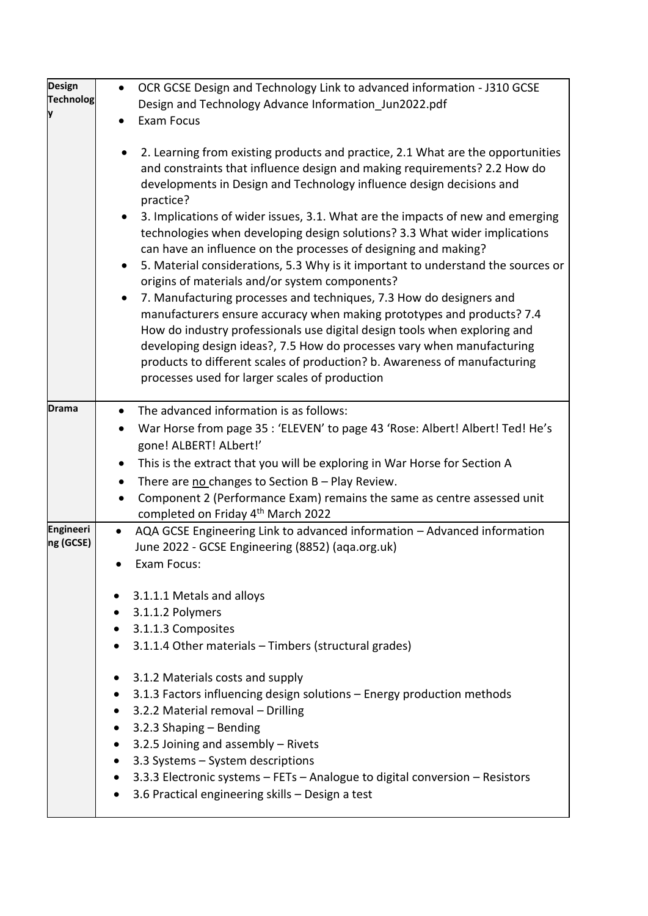| <b>Design</b>                 | $\bullet$              | OCR GCSE Design and Technology Link to advanced information - J310 GCSE                                                                                                                                                                                                                                                                                                                                                                                                                                                                                                                                                                                                                                                                                                                                                                                                                                                                                                                                                                                           |
|-------------------------------|------------------------|-------------------------------------------------------------------------------------------------------------------------------------------------------------------------------------------------------------------------------------------------------------------------------------------------------------------------------------------------------------------------------------------------------------------------------------------------------------------------------------------------------------------------------------------------------------------------------------------------------------------------------------------------------------------------------------------------------------------------------------------------------------------------------------------------------------------------------------------------------------------------------------------------------------------------------------------------------------------------------------------------------------------------------------------------------------------|
| <b>Technolog</b><br>y         |                        | Design and Technology Advance Information Jun2022.pdf                                                                                                                                                                                                                                                                                                                                                                                                                                                                                                                                                                                                                                                                                                                                                                                                                                                                                                                                                                                                             |
|                               |                        | <b>Exam Focus</b>                                                                                                                                                                                                                                                                                                                                                                                                                                                                                                                                                                                                                                                                                                                                                                                                                                                                                                                                                                                                                                                 |
|                               | $\bullet$<br>$\bullet$ | 2. Learning from existing products and practice, 2.1 What are the opportunities<br>and constraints that influence design and making requirements? 2.2 How do<br>developments in Design and Technology influence design decisions and<br>practice?<br>3. Implications of wider issues, 3.1. What are the impacts of new and emerging<br>technologies when developing design solutions? 3.3 What wider implications<br>can have an influence on the processes of designing and making?<br>5. Material considerations, 5.3 Why is it important to understand the sources or<br>origins of materials and/or system components?<br>7. Manufacturing processes and techniques, 7.3 How do designers and<br>manufacturers ensure accuracy when making prototypes and products? 7.4<br>How do industry professionals use digital design tools when exploring and<br>developing design ideas?, 7.5 How do processes vary when manufacturing<br>products to different scales of production? b. Awareness of manufacturing<br>processes used for larger scales of production |
| <b>Drama</b>                  |                        | The advanced information is as follows:                                                                                                                                                                                                                                                                                                                                                                                                                                                                                                                                                                                                                                                                                                                                                                                                                                                                                                                                                                                                                           |
|                               |                        |                                                                                                                                                                                                                                                                                                                                                                                                                                                                                                                                                                                                                                                                                                                                                                                                                                                                                                                                                                                                                                                                   |
|                               | $\bullet$              | War Horse from page 35 : 'ELEVEN' to page 43 'Rose: Albert! Albert! Ted! He's<br>gone! ALBERT! ALbert!'                                                                                                                                                                                                                                                                                                                                                                                                                                                                                                                                                                                                                                                                                                                                                                                                                                                                                                                                                           |
|                               |                        | This is the extract that you will be exploring in War Horse for Section A                                                                                                                                                                                                                                                                                                                                                                                                                                                                                                                                                                                                                                                                                                                                                                                                                                                                                                                                                                                         |
|                               |                        | There are no changes to Section B - Play Review.                                                                                                                                                                                                                                                                                                                                                                                                                                                                                                                                                                                                                                                                                                                                                                                                                                                                                                                                                                                                                  |
|                               |                        | Component 2 (Performance Exam) remains the same as centre assessed unit                                                                                                                                                                                                                                                                                                                                                                                                                                                                                                                                                                                                                                                                                                                                                                                                                                                                                                                                                                                           |
|                               |                        | completed on Friday 4 <sup>th</sup> March 2022                                                                                                                                                                                                                                                                                                                                                                                                                                                                                                                                                                                                                                                                                                                                                                                                                                                                                                                                                                                                                    |
| <b>Engineeri</b><br>ng (GCSE) | $\bullet$              | AQA GCSE Engineering Link to advanced information - Advanced information                                                                                                                                                                                                                                                                                                                                                                                                                                                                                                                                                                                                                                                                                                                                                                                                                                                                                                                                                                                          |
|                               |                        | June 2022 - GCSE Engineering (8852) (aqa.org.uk)                                                                                                                                                                                                                                                                                                                                                                                                                                                                                                                                                                                                                                                                                                                                                                                                                                                                                                                                                                                                                  |
|                               |                        | Exam Focus:                                                                                                                                                                                                                                                                                                                                                                                                                                                                                                                                                                                                                                                                                                                                                                                                                                                                                                                                                                                                                                                       |
|                               |                        | 3.1.1.1 Metals and alloys                                                                                                                                                                                                                                                                                                                                                                                                                                                                                                                                                                                                                                                                                                                                                                                                                                                                                                                                                                                                                                         |
|                               |                        | • 3.1.1.2 Polymers                                                                                                                                                                                                                                                                                                                                                                                                                                                                                                                                                                                                                                                                                                                                                                                                                                                                                                                                                                                                                                                |
|                               | $\bullet$              | 3.1.1.3 Composites                                                                                                                                                                                                                                                                                                                                                                                                                                                                                                                                                                                                                                                                                                                                                                                                                                                                                                                                                                                                                                                |
|                               |                        | 3.1.1.4 Other materials - Timbers (structural grades)                                                                                                                                                                                                                                                                                                                                                                                                                                                                                                                                                                                                                                                                                                                                                                                                                                                                                                                                                                                                             |
|                               |                        | 3.1.2 Materials costs and supply                                                                                                                                                                                                                                                                                                                                                                                                                                                                                                                                                                                                                                                                                                                                                                                                                                                                                                                                                                                                                                  |
|                               | $\bullet$              | 3.1.3 Factors influencing design solutions - Energy production methods                                                                                                                                                                                                                                                                                                                                                                                                                                                                                                                                                                                                                                                                                                                                                                                                                                                                                                                                                                                            |
|                               | $\bullet$              | 3.2.2 Material removal - Drilling                                                                                                                                                                                                                                                                                                                                                                                                                                                                                                                                                                                                                                                                                                                                                                                                                                                                                                                                                                                                                                 |
|                               | $\bullet$              | 3.2.3 Shaping - Bending                                                                                                                                                                                                                                                                                                                                                                                                                                                                                                                                                                                                                                                                                                                                                                                                                                                                                                                                                                                                                                           |
|                               | $\bullet$              | 3.2.5 Joining and assembly - Rivets                                                                                                                                                                                                                                                                                                                                                                                                                                                                                                                                                                                                                                                                                                                                                                                                                                                                                                                                                                                                                               |
|                               | $\bullet$              | 3.3 Systems - System descriptions                                                                                                                                                                                                                                                                                                                                                                                                                                                                                                                                                                                                                                                                                                                                                                                                                                                                                                                                                                                                                                 |
|                               | $\bullet$              | 3.3.3 Electronic systems - FETs - Analogue to digital conversion - Resistors                                                                                                                                                                                                                                                                                                                                                                                                                                                                                                                                                                                                                                                                                                                                                                                                                                                                                                                                                                                      |
|                               | $\bullet$              | 3.6 Practical engineering skills - Design a test                                                                                                                                                                                                                                                                                                                                                                                                                                                                                                                                                                                                                                                                                                                                                                                                                                                                                                                                                                                                                  |
|                               |                        |                                                                                                                                                                                                                                                                                                                                                                                                                                                                                                                                                                                                                                                                                                                                                                                                                                                                                                                                                                                                                                                                   |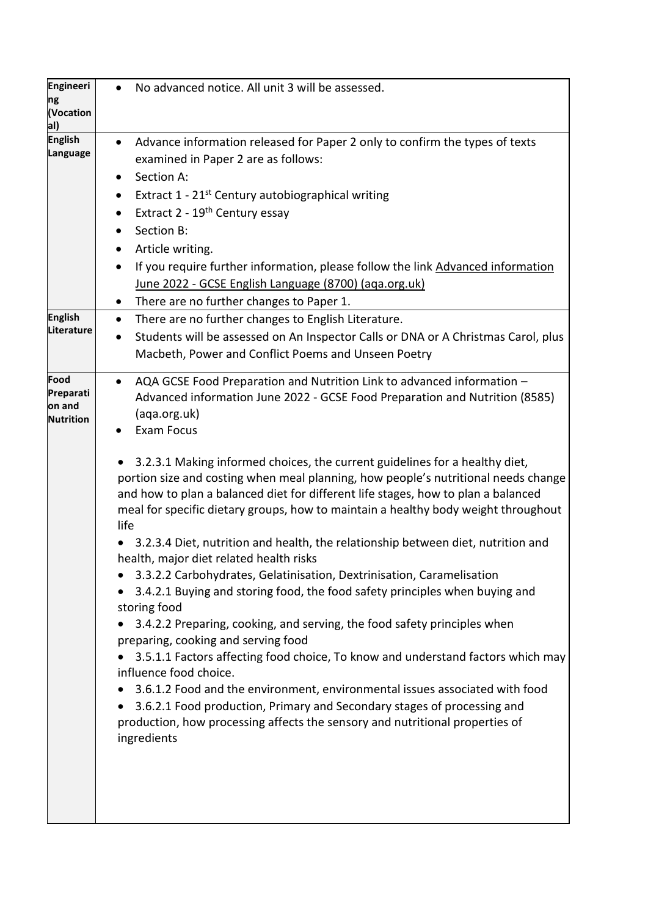| <b>Engineeri</b><br>ng<br>(Vocation<br>al)      | No advanced notice. All unit 3 will be assessed.<br>$\bullet$                                                                                                                                                                                                                                                                                                                                                                                                                                                                                                                                                                                                                                                                                                                                                                                                                                                                                                                                                                                                                                                                                                                                                                                                                                                                                                   |
|-------------------------------------------------|-----------------------------------------------------------------------------------------------------------------------------------------------------------------------------------------------------------------------------------------------------------------------------------------------------------------------------------------------------------------------------------------------------------------------------------------------------------------------------------------------------------------------------------------------------------------------------------------------------------------------------------------------------------------------------------------------------------------------------------------------------------------------------------------------------------------------------------------------------------------------------------------------------------------------------------------------------------------------------------------------------------------------------------------------------------------------------------------------------------------------------------------------------------------------------------------------------------------------------------------------------------------------------------------------------------------------------------------------------------------|
| <b>English</b><br><b>Language</b>               | Advance information released for Paper 2 only to confirm the types of texts<br>$\bullet$<br>examined in Paper 2 are as follows:<br>Section A:<br>Extract 1 - 21 <sup>st</sup> Century autobiographical writing<br>$\bullet$<br>Extract 2 - 19 <sup>th</sup> Century essay<br>$\bullet$<br>Section B:<br>Article writing.<br>$\bullet$<br>If you require further information, please follow the link Advanced information<br>$\bullet$<br>June 2022 - GCSE English Language (8700) (aga.org.uk)<br>There are no further changes to Paper 1.                                                                                                                                                                                                                                                                                                                                                                                                                                                                                                                                                                                                                                                                                                                                                                                                                      |
| <b>English</b><br>Literature                    | There are no further changes to English Literature.<br>$\bullet$<br>Students will be assessed on An Inspector Calls or DNA or A Christmas Carol, plus<br>$\bullet$<br>Macbeth, Power and Conflict Poems and Unseen Poetry                                                                                                                                                                                                                                                                                                                                                                                                                                                                                                                                                                                                                                                                                                                                                                                                                                                                                                                                                                                                                                                                                                                                       |
| Food<br>Preparati<br>on and<br><b>Nutrition</b> | AQA GCSE Food Preparation and Nutrition Link to advanced information -<br>$\bullet$<br>Advanced information June 2022 - GCSE Food Preparation and Nutrition (8585)<br>(aqa.org.uk)<br><b>Exam Focus</b><br>3.2.3.1 Making informed choices, the current guidelines for a healthy diet,<br>portion size and costing when meal planning, how people's nutritional needs change<br>and how to plan a balanced diet for different life stages, how to plan a balanced<br>meal for specific dietary groups, how to maintain a healthy body weight throughout<br>life<br>3.2.3.4 Diet, nutrition and health, the relationship between diet, nutrition and<br>health, major diet related health risks<br>3.3.2.2 Carbohydrates, Gelatinisation, Dextrinisation, Caramelisation<br>3.4.2.1 Buying and storing food, the food safety principles when buying and<br>storing food<br>3.4.2.2 Preparing, cooking, and serving, the food safety principles when<br>preparing, cooking and serving food<br>3.5.1.1 Factors affecting food choice, To know and understand factors which may<br>influence food choice.<br>3.6.1.2 Food and the environment, environmental issues associated with food<br>3.6.2.1 Food production, Primary and Secondary stages of processing and<br>production, how processing affects the sensory and nutritional properties of<br>ingredients |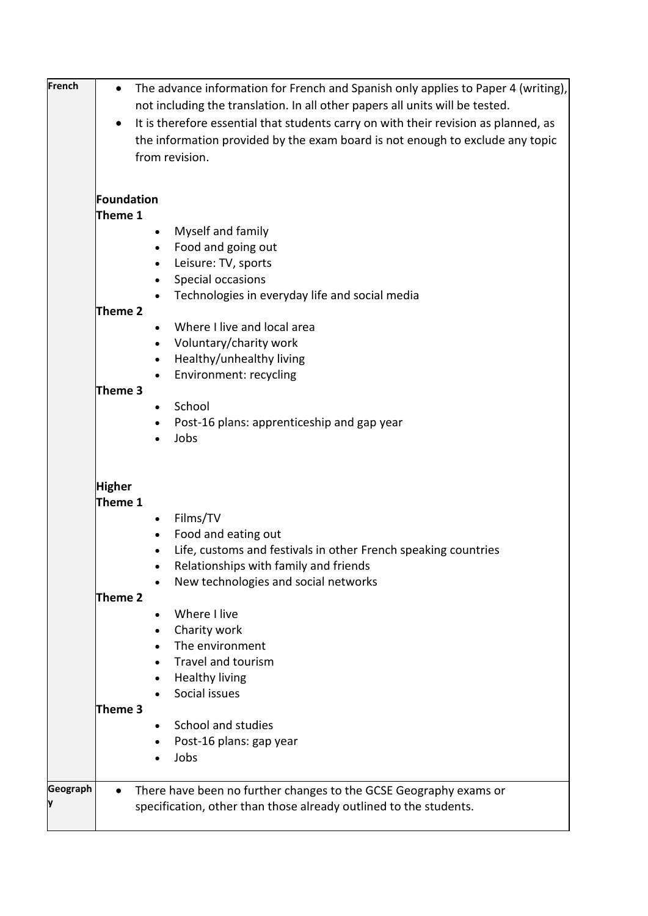| <b>French</b> | The advance information for French and Spanish only applies to Paper 4 (writing),<br>$\bullet$                                             |
|---------------|--------------------------------------------------------------------------------------------------------------------------------------------|
|               | not including the translation. In all other papers all units will be tested.                                                               |
|               | It is therefore essential that students carry on with their revision as planned, as<br>$\bullet$                                           |
|               | the information provided by the exam board is not enough to exclude any topic                                                              |
|               | from revision.                                                                                                                             |
|               |                                                                                                                                            |
|               | Foundation                                                                                                                                 |
|               | Theme 1                                                                                                                                    |
|               | Myself and family<br>$\bullet$                                                                                                             |
|               | Food and going out<br>$\bullet$                                                                                                            |
|               | Leisure: TV, sports<br>$\bullet$                                                                                                           |
|               | Special occasions<br>$\bullet$                                                                                                             |
|               | Technologies in everyday life and social media                                                                                             |
|               | Theme 2                                                                                                                                    |
|               | Where I live and local area                                                                                                                |
|               | Voluntary/charity work<br>$\bullet$                                                                                                        |
|               | Healthy/unhealthy living                                                                                                                   |
|               | Environment: recycling                                                                                                                     |
|               | Theme 3                                                                                                                                    |
|               | School<br>$\bullet$                                                                                                                        |
|               | Post-16 plans: apprenticeship and gap year                                                                                                 |
|               | Jobs                                                                                                                                       |
|               | <b>Higher</b><br>Theme 1<br>Films/TV<br>$\bullet$<br>Food and eating out<br>Life, customs and festivals in other French speaking countries |
|               | Relationships with family and friends                                                                                                      |
|               | New technologies and social networks                                                                                                       |
|               | Theme 2                                                                                                                                    |
|               | Where I live                                                                                                                               |
|               | Charity work                                                                                                                               |
|               | The environment                                                                                                                            |
|               | Travel and tourism<br>$\bullet$                                                                                                            |
|               | <b>Healthy living</b>                                                                                                                      |
|               | Social issues                                                                                                                              |
|               | Theme 3                                                                                                                                    |
|               | School and studies                                                                                                                         |
|               | Post-16 plans: gap year                                                                                                                    |
|               | Jobs                                                                                                                                       |
|               |                                                                                                                                            |
| Geograph      | There have been no further changes to the GCSE Geography exams or                                                                          |
|               | specification, other than those already outlined to the students.                                                                          |
|               |                                                                                                                                            |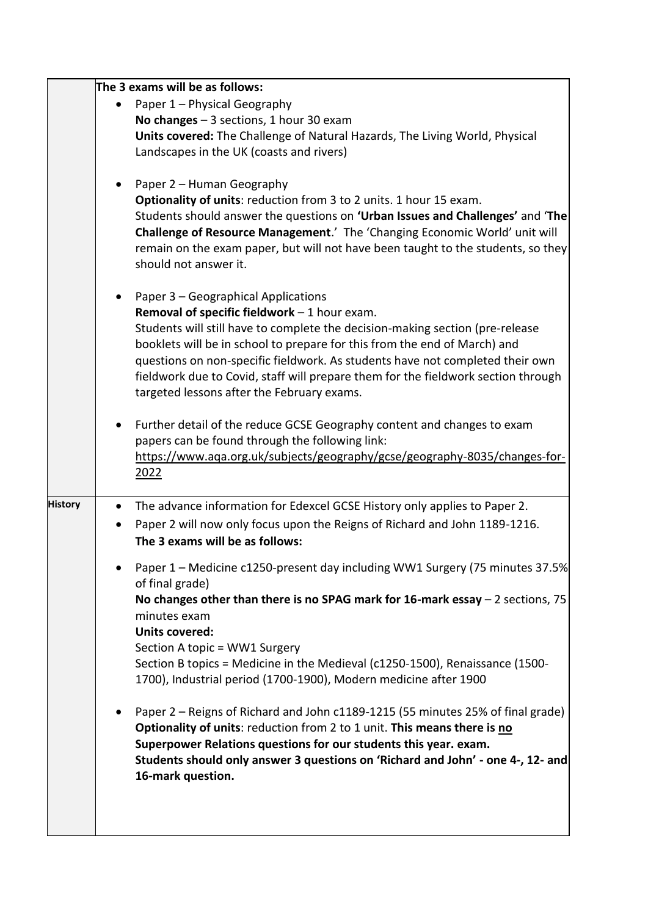|                |           | The 3 exams will be as follows:                                                                                                 |
|----------------|-----------|---------------------------------------------------------------------------------------------------------------------------------|
|                |           | Paper 1 - Physical Geography                                                                                                    |
|                |           | No changes $-3$ sections, 1 hour 30 exam                                                                                        |
|                |           | Units covered: The Challenge of Natural Hazards, The Living World, Physical                                                     |
|                |           | Landscapes in the UK (coasts and rivers)                                                                                        |
|                |           | Paper 2 - Human Geography                                                                                                       |
|                |           | Optionality of units: reduction from 3 to 2 units. 1 hour 15 exam.                                                              |
|                |           | Students should answer the questions on 'Urban Issues and Challenges' and 'The                                                  |
|                |           | Challenge of Resource Management.' The 'Changing Economic World' unit will                                                      |
|                |           | remain on the exam paper, but will not have been taught to the students, so they                                                |
|                |           | should not answer it.                                                                                                           |
|                |           | Paper 3 - Geographical Applications                                                                                             |
|                |           | Removal of specific fieldwork $-1$ hour exam.                                                                                   |
|                |           | Students will still have to complete the decision-making section (pre-release                                                   |
|                |           | booklets will be in school to prepare for this from the end of March) and                                                       |
|                |           | questions on non-specific fieldwork. As students have not completed their own                                                   |
|                |           | fieldwork due to Covid, staff will prepare them for the fieldwork section through<br>targeted lessons after the February exams. |
|                |           |                                                                                                                                 |
|                |           | Further detail of the reduce GCSE Geography content and changes to exam                                                         |
|                |           | papers can be found through the following link:                                                                                 |
|                |           | https://www.aqa.org.uk/subjects/geography/gcse/geography-8035/changes-for-                                                      |
|                |           | 2022                                                                                                                            |
| <b>History</b> | $\bullet$ | The advance information for Edexcel GCSE History only applies to Paper 2.                                                       |
|                |           | Paper 2 will now only focus upon the Reigns of Richard and John 1189-1216.                                                      |
|                |           | The 3 exams will be as follows:                                                                                                 |
|                |           | Paper 1 - Medicine c1250-present day including WW1 Surgery (75 minutes 37.5%                                                    |
|                |           | of final grade)                                                                                                                 |
|                |           | No changes other than there is no SPAG mark for 16-mark essay $-2$ sections, 75<br>minutes exam                                 |
|                |           | <b>Units covered:</b>                                                                                                           |
|                |           | Section A topic = WW1 Surgery                                                                                                   |
|                |           | Section B topics = Medicine in the Medieval (c1250-1500), Renaissance (1500-                                                    |
|                |           | 1700), Industrial period (1700-1900), Modern medicine after 1900                                                                |
|                |           | Paper 2 – Reigns of Richard and John c1189-1215 (55 minutes 25% of final grade)                                                 |
|                |           | Optionality of units: reduction from 2 to 1 unit. This means there is no                                                        |
|                |           | Superpower Relations questions for our students this year. exam.                                                                |
|                |           | Students should only answer 3 questions on 'Richard and John' - one 4-, 12- and                                                 |
|                |           | 16-mark question.                                                                                                               |
|                |           |                                                                                                                                 |
|                |           |                                                                                                                                 |
|                |           |                                                                                                                                 |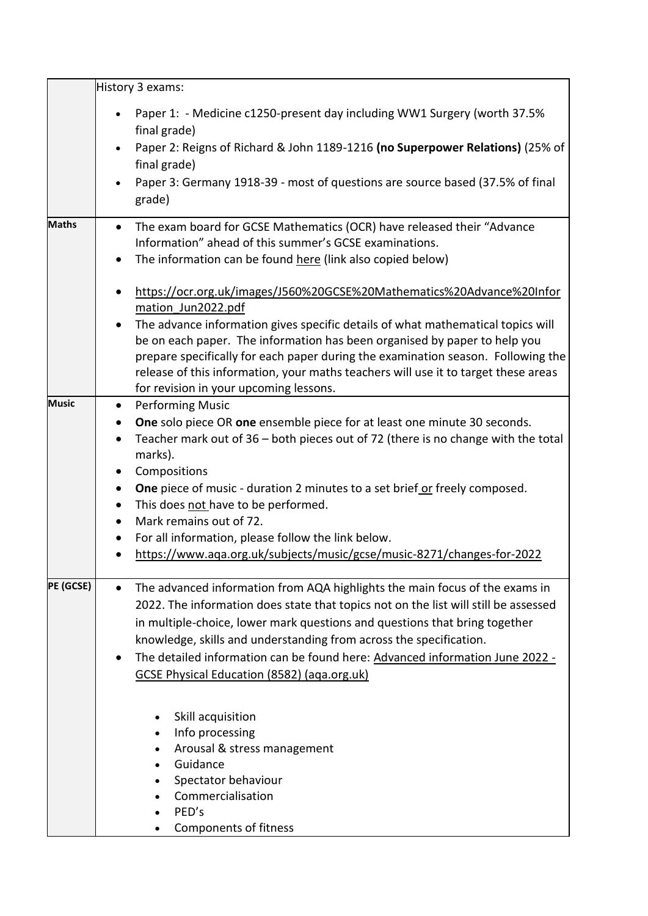|              | History 3 exams:                                                                                                                                                                                                                                                                                                                                                                              |
|--------------|-----------------------------------------------------------------------------------------------------------------------------------------------------------------------------------------------------------------------------------------------------------------------------------------------------------------------------------------------------------------------------------------------|
|              | Paper 1: - Medicine c1250-present day including WW1 Surgery (worth 37.5%<br>$\bullet$<br>final grade)<br>Paper 2: Reigns of Richard & John 1189-1216 (no Superpower Relations) (25% of                                                                                                                                                                                                        |
|              | final grade)                                                                                                                                                                                                                                                                                                                                                                                  |
|              | Paper 3: Germany 1918-39 - most of questions are source based (37.5% of final<br>grade)                                                                                                                                                                                                                                                                                                       |
| <b>Maths</b> | The exam board for GCSE Mathematics (OCR) have released their "Advance<br>$\bullet$<br>Information" ahead of this summer's GCSE examinations.                                                                                                                                                                                                                                                 |
|              | The information can be found here (link also copied below)<br>$\bullet$                                                                                                                                                                                                                                                                                                                       |
|              | https://ocr.org.uk/images/J560%20GCSE%20Mathematics%20Advance%20Infor<br>$\bullet$<br>mation Jun2022.pdf                                                                                                                                                                                                                                                                                      |
|              | The advance information gives specific details of what mathematical topics will<br>$\bullet$<br>be on each paper. The information has been organised by paper to help you<br>prepare specifically for each paper during the examination season. Following the<br>release of this information, your maths teachers will use it to target these areas<br>for revision in your upcoming lessons. |
| <b>Music</b> | <b>Performing Music</b><br>$\bullet$                                                                                                                                                                                                                                                                                                                                                          |
|              | One solo piece OR one ensemble piece for at least one minute 30 seconds.<br>$\bullet$                                                                                                                                                                                                                                                                                                         |
|              | Teacher mark out of 36 - both pieces out of 72 (there is no change with the total<br>$\bullet$<br>marks).                                                                                                                                                                                                                                                                                     |
|              | Compositions<br>$\bullet$                                                                                                                                                                                                                                                                                                                                                                     |
|              | <b>One</b> piece of music - duration 2 minutes to a set brief or freely composed.<br>$\bullet$                                                                                                                                                                                                                                                                                                |
|              | This does not have to be performed.<br>$\bullet$<br>Mark remains out of 72.                                                                                                                                                                                                                                                                                                                   |
|              | $\bullet$<br>For all information, please follow the link below.<br>$\bullet$                                                                                                                                                                                                                                                                                                                  |
|              | https://www.aqa.org.uk/subjects/music/gcse/music-8271/changes-for-2022<br>$\bullet$                                                                                                                                                                                                                                                                                                           |
| PE (GCSE)    | The advanced information from AQA highlights the main focus of the exams in<br>2022. The information does state that topics not on the list will still be assessed<br>in multiple-choice, lower mark questions and questions that bring together<br>knowledge, skills and understanding from across the specification.                                                                        |
|              | The detailed information can be found here: Advanced information June 2022 -<br>GCSE Physical Education (8582) (aga.org.uk)                                                                                                                                                                                                                                                                   |
|              | Skill acquisition<br>Info processing<br>Arousal & stress management<br>Guidance<br>Spectator behaviour<br>Commercialisation<br>PED's                                                                                                                                                                                                                                                          |
|              | Components of fitness                                                                                                                                                                                                                                                                                                                                                                         |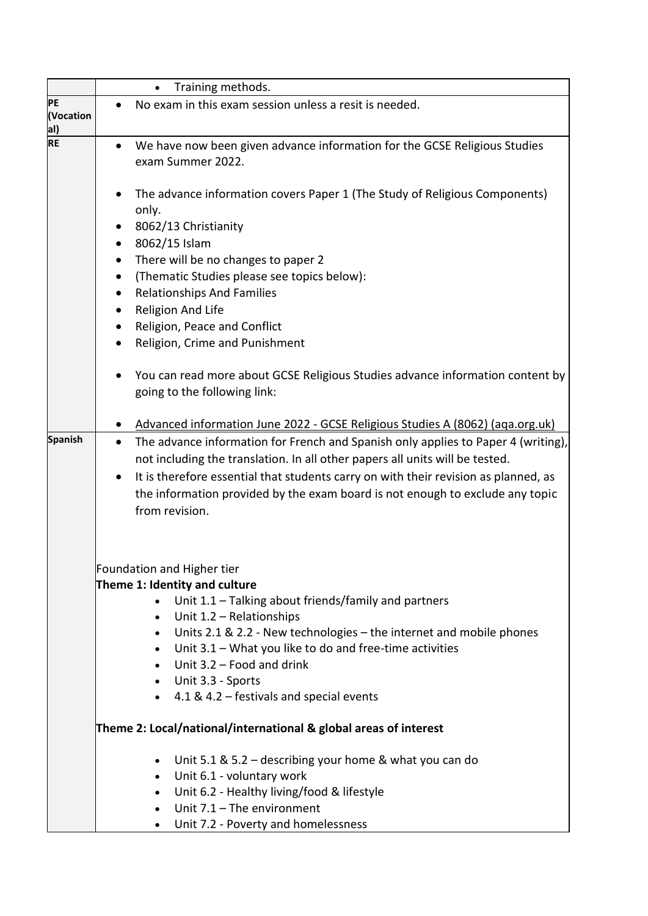|                  | Training methods.<br>$\bullet$                                                                              |
|------------------|-------------------------------------------------------------------------------------------------------------|
| <b>PE</b>        | No exam in this exam session unless a resit is needed.                                                      |
| (Vocation        |                                                                                                             |
| al)<br><b>RE</b> |                                                                                                             |
|                  | We have now been given advance information for the GCSE Religious Studies<br>$\bullet$<br>exam Summer 2022. |
|                  |                                                                                                             |
|                  | The advance information covers Paper 1 (The Study of Religious Components)                                  |
|                  | only.                                                                                                       |
|                  | 8062/13 Christianity                                                                                        |
|                  | 8062/15 Islam<br>$\bullet$                                                                                  |
|                  | There will be no changes to paper 2<br>$\bullet$                                                            |
|                  | (Thematic Studies please see topics below):<br>$\bullet$                                                    |
|                  | <b>Relationships And Families</b>                                                                           |
|                  | Religion And Life<br>$\bullet$                                                                              |
|                  | Religion, Peace and Conflict<br>$\bullet$                                                                   |
|                  | Religion, Crime and Punishment<br>$\bullet$                                                                 |
|                  |                                                                                                             |
|                  | You can read more about GCSE Religious Studies advance information content by                               |
|                  | going to the following link:                                                                                |
|                  |                                                                                                             |
|                  | Advanced information June 2022 - GCSE Religious Studies A (8062) (aga.org.uk)                               |
| <b>Spanish</b>   | The advance information for French and Spanish only applies to Paper 4 (writing),<br>$\bullet$              |
|                  | not including the translation. In all other papers all units will be tested.                                |
|                  | It is therefore essential that students carry on with their revision as planned, as<br>$\bullet$            |
|                  | the information provided by the exam board is not enough to exclude any topic                               |
|                  | from revision.                                                                                              |
|                  |                                                                                                             |
|                  |                                                                                                             |
|                  | Foundation and Higher tier                                                                                  |
|                  | Theme 1: Identity and culture                                                                               |
|                  | Unit 1.1 - Talking about friends/family and partners                                                        |
|                  | Unit 1.2 - Relationships<br>$\bullet$                                                                       |
|                  | Units 2.1 & 2.2 - New technologies - the internet and mobile phones<br>$\bullet$                            |
|                  | Unit 3.1 - What you like to do and free-time activities<br>$\bullet$                                        |
|                  | Unit 3.2 - Food and drink                                                                                   |
|                  | Unit 3.3 - Sports<br>$\bullet$                                                                              |
|                  | 4.1 & 4.2 – festivals and special events                                                                    |
|                  | Theme 2: Local/national/international & global areas of interest                                            |
|                  | Unit 5.1 & 5.2 – describing your home & what you can do<br>$\bullet$                                        |
|                  | Unit 6.1 - voluntary work<br>$\bullet$                                                                      |
|                  | Unit 6.2 - Healthy living/food & lifestyle<br>$\bullet$                                                     |
|                  | Unit $7.1$ – The environment                                                                                |
|                  | Unit 7.2 - Poverty and homelessness<br>$\bullet$                                                            |